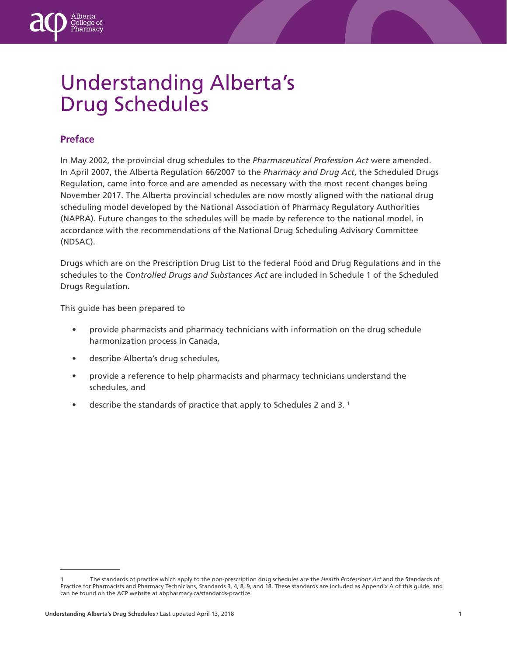# Understanding Alberta's Drug Schedules

## **Preface**

ollege of

In May 2002, the provincial drug schedules to the *Pharmaceutical Profession Act* were amended. In April 2007, the Alberta Regulation 66/2007 to the *Pharmacy and Drug Act*, the Scheduled Drugs Regulation, came into force and are amended as necessary with the most recent changes being November 2017. The Alberta provincial schedules are now mostly aligned with the national drug scheduling model developed by the National Association of Pharmacy Regulatory Authorities (NAPRA). Future changes to the schedules will be made by reference to the national model, in accordance with the recommendations of the National Drug Scheduling Advisory Committee (NDSAC).

Drugs which are on the Prescription Drug List to the federal Food and Drug Regulations and in the schedules to the *Controlled Drugs and Substances Act* are included in Schedule 1 of the Scheduled Drugs Regulation.

This guide has been prepared to

- provide pharmacists and pharmacy technicians with information on the drug schedule harmonization process in Canada,
- describe Alberta's drug schedules,
- provide a reference to help pharmacists and pharmacy technicians understand the schedules, and
- describe the standards of practice that apply to Schedules 2 and 3.<sup>1</sup>

<sup>1</sup> The standards of practice which apply to the non-prescription drug schedules are the *Health Professions Act* and the Standards of Practice for Pharmacists and Pharmacy Technicians, Standards 3, 4, 8, 9, and 18. These standards are included as Appendix A of this guide, and can be found on the ACP website at abpharmacy.ca/standards-practice.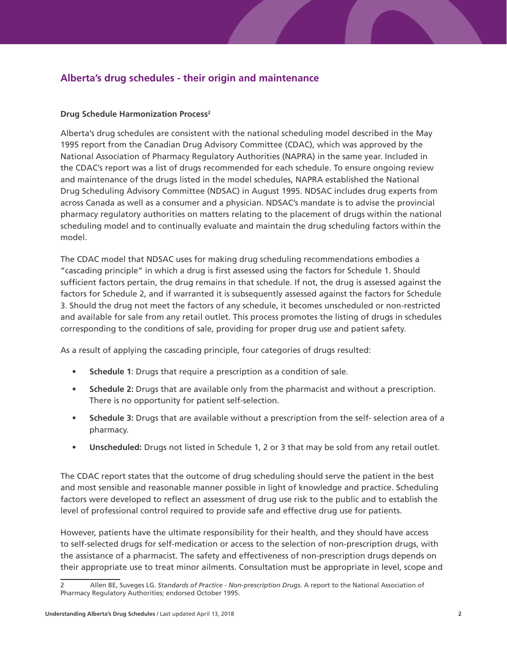# **Alberta's drug schedules - their origin and maintenance**

## **Drug Schedule Harmonization Process2**

Alberta's drug schedules are consistent with the national scheduling model described in the May 1995 report from the Canadian Drug Advisory Committee (CDAC), which was approved by the National Association of Pharmacy Regulatory Authorities (NAPRA) in the same year. Included in the CDAC's report was a list of drugs recommended for each schedule. To ensure ongoing review and maintenance of the drugs listed in the model schedules, NAPRA established the National Drug Scheduling Advisory Committee (NDSAC) in August 1995. NDSAC includes drug experts from across Canada as well as a consumer and a physician. NDSAC's mandate is to advise the provincial pharmacy regulatory authorities on matters relating to the placement of drugs within the national scheduling model and to continually evaluate and maintain the drug scheduling factors within the model.

The CDAC model that NDSAC uses for making drug scheduling recommendations embodies a "cascading principle" in which a drug is first assessed using the factors for Schedule 1. Should sufficient factors pertain, the drug remains in that schedule. If not, the drug is assessed against the factors for Schedule 2, and if warranted it is subsequently assessed against the factors for Schedule 3. Should the drug not meet the factors of any schedule, it becomes unscheduled or non-restricted and available for sale from any retail outlet. This process promotes the listing of drugs in schedules corresponding to the conditions of sale, providing for proper drug use and patient safety.

As a result of applying the cascading principle, four categories of drugs resulted:

- **• Schedule 1**: Drugs that require a prescription as a condition of sale.
- **• Schedule 2:** Drugs that are available only from the pharmacist and without a prescription. There is no opportunity for patient self-selection.
- **• Schedule 3:** Drugs that are available without a prescription from the self- selection area of a pharmacy.
- **• Unscheduled:** Drugs not listed in Schedule 1, 2 or 3 that may be sold from any retail outlet.

The CDAC report states that the outcome of drug scheduling should serve the patient in the best and most sensible and reasonable manner possible in light of knowledge and practice. Scheduling factors were developed to reflect an assessment of drug use risk to the public and to establish the level of professional control required to provide safe and effective drug use for patients.

However, patients have the ultimate responsibility for their health, and they should have access to self-selected drugs for self-medication or access to the selection of non-prescription drugs, with the assistance of a pharmacist. The safety and effectiveness of non-prescription drugs depends on their appropriate use to treat minor ailments. Consultation must be appropriate in level, scope and

<sup>2</sup> Allen BE, Suveges LG. *Standards of Practice - Non-prescription Drugs*. A report to the National Association of Pharmacy Regulatory Authorities; endorsed October 1995.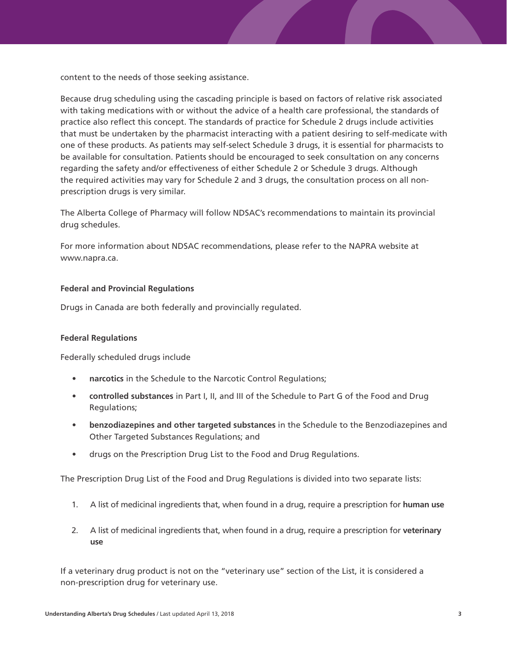content to the needs of those seeking assistance.

Because drug scheduling using the cascading principle is based on factors of relative risk associated with taking medications with or without the advice of a health care professional, the standards of practice also reflect this concept. The standards of practice for Schedule 2 drugs include activities that must be undertaken by the pharmacist interacting with a patient desiring to self-medicate with one of these products. As patients may self-select Schedule 3 drugs, it is essential for pharmacists to be available for consultation. Patients should be encouraged to seek consultation on any concerns regarding the safety and/or effectiveness of either Schedule 2 or Schedule 3 drugs. Although the required activities may vary for Schedule 2 and 3 drugs, the consultation process on all nonprescription drugs is very similar.

The Alberta College of Pharmacy will follow NDSAC's recommendations to maintain its provincial drug schedules.

For more information about NDSAC recommendations, please refer to the NAPRA website at www.napra.ca.

#### **Federal and Provincial Regulations**

Drugs in Canada are both federally and provincially regulated.

#### **Federal Regulations**

Federally scheduled drugs include

- **• narcotics** in the Schedule to the Narcotic Control Regulations;
- **• controlled substances** in Part I, II, and III of the Schedule to Part G of the Food and Drug Regulations;
- **• benzodiazepines and other targeted substances** in the Schedule to the Benzodiazepines and Other Targeted Substances Regulations; and
- drugs on the Prescription Drug List to the Food and Drug Regulations.

The Prescription Drug List of the Food and Drug Regulations is divided into two separate lists:

- 1. A list of medicinal ingredients that, when found in a drug, require a prescription for **human use**
- 2. A list of medicinal ingredients that, when found in a drug, require a prescription for **veterinary use**

If a veterinary drug product is not on the "veterinary use" section of the List, it is considered a non-prescription drug for veterinary use.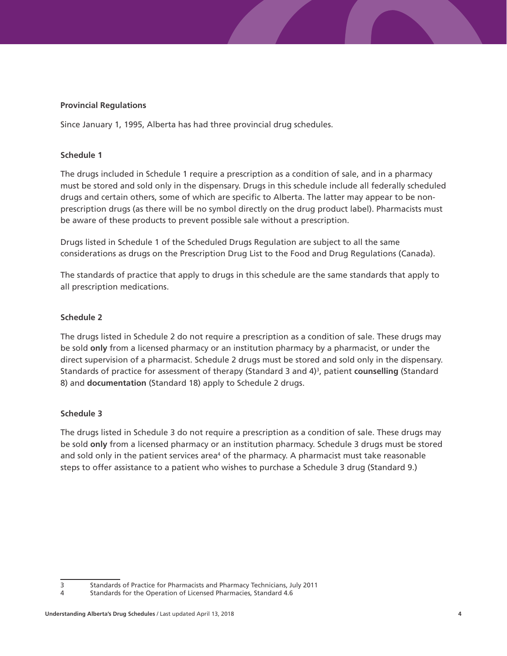### **Provincial Regulations**

Since January 1, 1995, Alberta has had three provincial drug schedules.

#### **Schedule 1**

The drugs included in Schedule 1 require a prescription as a condition of sale, and in a pharmacy must be stored and sold only in the dispensary. Drugs in this schedule include all federally scheduled drugs and certain others, some of which are specific to Alberta. The latter may appear to be nonprescription drugs (as there will be no symbol directly on the drug product label). Pharmacists must be aware of these products to prevent possible sale without a prescription.

Drugs listed in Schedule 1 of the Scheduled Drugs Regulation are subject to all the same considerations as drugs on the Prescription Drug List to the Food and Drug Regulations (Canada).

The standards of practice that apply to drugs in this schedule are the same standards that apply to all prescription medications.

#### **Schedule 2**

The drugs listed in Schedule 2 do not require a prescription as a condition of sale. These drugs may be sold **only** from a licensed pharmacy or an institution pharmacy by a pharmacist, or under the direct supervision of a pharmacist. Schedule 2 drugs must be stored and sold only in the dispensary. Standards of practice for assessment of therapy (Standard 3 and 4)3 , patient **counselling** (Standard 8) and **documentation** (Standard 18) apply to Schedule 2 drugs.

#### **Schedule 3**

The drugs listed in Schedule 3 do not require a prescription as a condition of sale. These drugs may be sold **only** from a licensed pharmacy or an institution pharmacy. Schedule 3 drugs must be stored and sold only in the patient services area<sup>4</sup> of the pharmacy. A pharmacist must take reasonable steps to offer assistance to a patient who wishes to purchase a Schedule 3 drug (Standard 9.)

<sup>3</sup> Standards of Practice for Pharmacists and Pharmacy Technicians, July 2011

<sup>4</sup> Standards for the Operation of Licensed Pharmacies, Standard 4.6